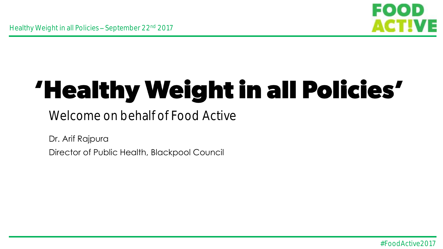

# 'Healthy Weight in all Policies'

### Welcome on behalf of Food Active

Dr. Arif Rajpura

Director of Public Health, Blackpool Council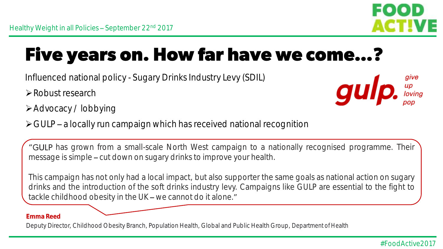

### **Five years on. How far have we come...?**

- Influenced national policy Sugary Drinks Industry Levy (SDIL)
- Robust research



- Advocacy / lobbying
- $\triangleright$  GULP a locally run campaign which has received national recognition

"GULP has grown from a small-scale North West campaign to a nationally recognised programme. Their message is simple – cut down on sugary drinks to improve your health.

This campaign has not only had a local impact, but also supporter the same goals as national action on sugary drinks and the introduction of the soft drinks industry levy. Campaigns like GULP are essential to the fight to tackle childhood obesity in the UK  $-$  we cannot do it alone."

#### **Emma Reed**

Deputy Director, Childhood Obesity Branch, Population Health, Global and Public Health Group, Department of Health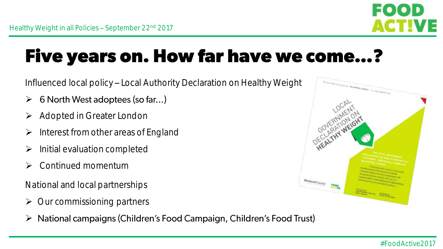

## **Five years on. How far have we come...?**

Influenced local policy - Local Authority Declaration on Healthy Weight

- $\blacktriangleright$ 6 North West adoptees (so far...)
- **▶ Adopted in Greater London**
- $\triangleright$  Interest from other areas of England
- $\triangleright$  Initial evaluation completed
- Continued momentum

National and local partnerships

- Our commissioning partners
- $\blacktriangleright$ National campaigns (Children's Food Campaign, Children's Food Trust)

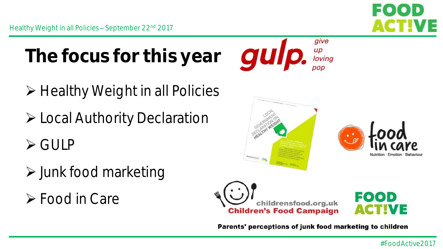

- **≻** Healthy Weight in all Policies
- Local Authority Declaration
- GULP
- $\triangleright$  Junk food marketing
- Food in Care









Parents' perceptions of junk food marketing to children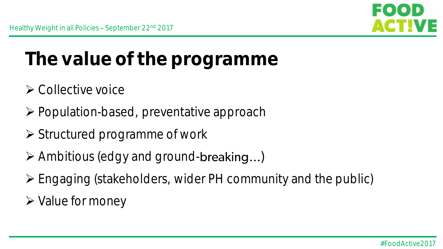

### **The value of the programme**

- $\triangleright$  Collective voice
- ▶ Population-based, preventative approach
- $\triangleright$  Structured programme of work
- $\triangleright$  Ambitious (edgy and ground-breaking...)
- Engaging (stakeholders, wider PH community and the public)
- $\triangleright$  Value for money